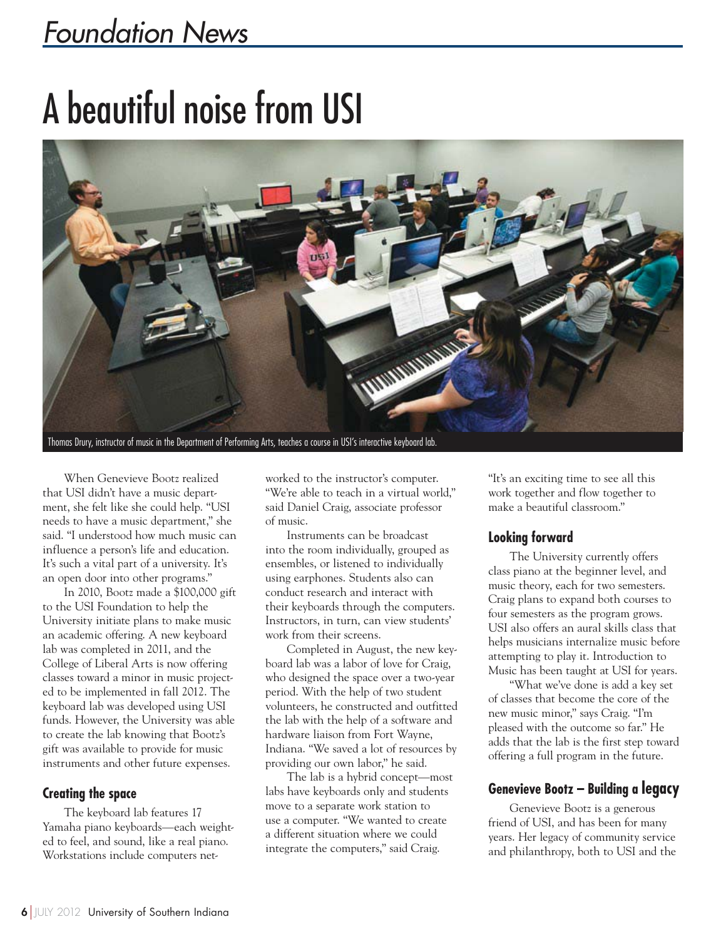### Foundation News

## A beautiful noise from USI



When Genevieve Bootz realized that USI didn't have a music department, she felt like she could help. "USI needs to have a music department," she said. "I understood how much music can influence a person's life and education. It's such a vital part of a university. It's an open door into other programs."

In 2010, Bootz made a \$100,000 gift to the USI Foundation to help the University initiate plans to make music an academic offering. A new keyboard lab was completed in 2011, and the College of Liberal Arts is now offering classes toward a minor in music projected to be implemented in fall 2012. The keyboard lab was developed using USI funds. However, the University was able to create the lab knowing that Bootz's gift was available to provide for music instruments and other future expenses.

### **Creating the space**

The keyboard lab features 17 Yamaha piano keyboards—each weighted to feel, and sound, like a real piano. Workstations include computers net-

worked to the instructor's computer. "We're able to teach in a virtual world," said Daniel Craig, associate professor of music.

Instruments can be broadcast into the room individually, grouped as ensembles, or listened to individually using earphones. Students also can conduct research and interact with their keyboards through the computers. Instructors, in turn, can view students' work from their screens.

Completed in August, the new keyboard lab was a labor of love for Craig, who designed the space over a two-year period. With the help of two student volunteers, he constructed and outfitted the lab with the help of a software and hardware liaison from Fort Wayne, Indiana. "We saved a lot of resources by providing our own labor," he said.

The lab is a hybrid concept—most labs have keyboards only and students move to a separate work station to use a computer. "We wanted to create a different situation where we could integrate the computers," said Craig.

"It's an exciting time to see all this work together and flow together to make a beautiful classroom."

### **Looking forward**

The University currently offers class piano at the beginner level, and music theory, each for two semesters. Craig plans to expand both courses to four semesters as the program grows. USI also offers an aural skills class that helps musicians internalize music before attempting to play it. Introduction to Music has been taught at USI for years.

"What we've done is add a key set of classes that become the core of the new music minor," says Craig. "I'm pleased with the outcome so far." He adds that the lab is the first step toward offering a full program in the future.

### **Genevieve Bootz – Building a legacy**

Genevieve Bootz is a generous friend of USI, and has been for many years. Her legacy of community service and philanthropy, both to USI and the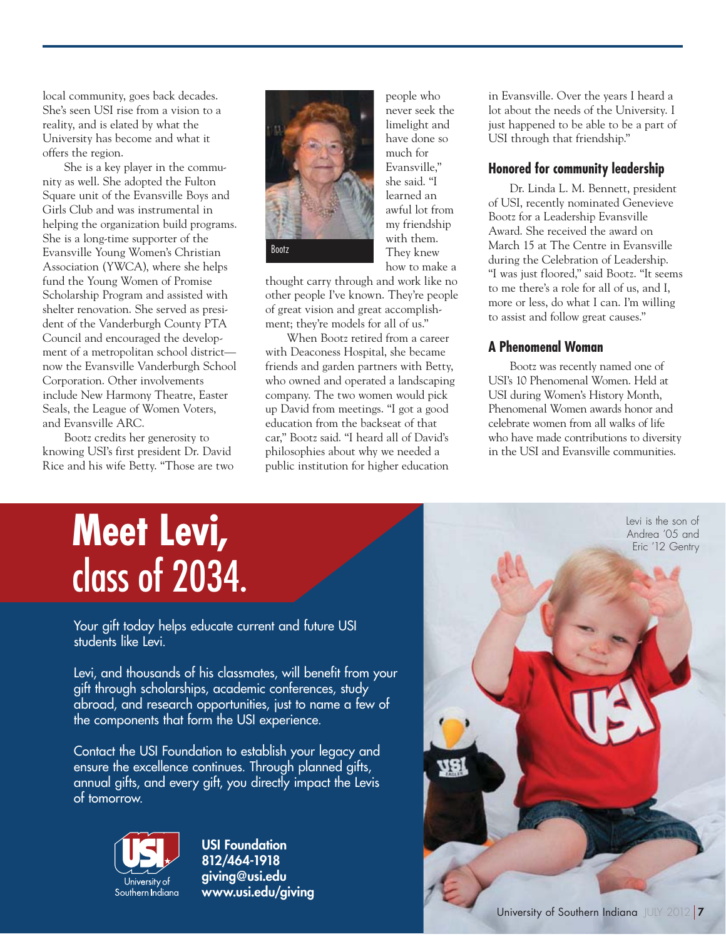local community, goes back decades. She's seen USI rise from a vision to a reality, and is elated by what the University has become and what it offers the region.

She is a key player in the community as well. She adopted the Fulton Square unit of the Evansville Boys and Girls Club and was instrumental in helping the organization build programs. She is a long-time supporter of the Evansville Young Women's Christian Association (YWCA), where she helps fund the Young Women of Promise Scholarship Program and assisted with shelter renovation. She served as president of the Vanderburgh County PTA Council and encouraged the development of a metropolitan school district now the Evansville Vanderburgh School Corporation. Other involvements include New Harmony Theatre, Easter Seals, the League of Women Voters, and Evansville ARC.

Bootz credits her generosity to knowing USI's first president Dr. David Rice and his wife Betty. "Those are two



people who never seek the limelight and have done so much for Evansville," she said. "I learned an awful lot from my friendship with them. They knew how to make a

thought carry through and work like no other people I've known. They're people of great vision and great accomplishment; they're models for all of us."

When Bootz retired from a career with Deaconess Hospital, she became friends and garden partners with Betty, who owned and operated a landscaping company. The two women would pick up David from meetings. "I got a good education from the backseat of that car," Bootz said. "I heard all of David's philosophies about why we needed a public institution for higher education

in Evansville. Over the years I heard a lot about the needs of the University. I just happened to be able to be a part of USI through that friendship."

#### **Honored for community leadership**

Dr. Linda L. M. Bennett, president of USI, recently nominated Genevieve Bootz for a Leadership Evansville Award. She received the award on March 15 at The Centre in Evansville during the Celebration of Leadership. "I was just floored," said Bootz. "It seems to me there's a role for all of us, and I, more or less, do what I can. I'm willing to assist and follow great causes."

### **A Phenomenal Woman**

Bootz was recently named one of USI's 10 Phenomenal Women. Held at USI during Women's History Month, Phenomenal Women awards honor and celebrate women from all walks of life who have made contributions to diversity in the USI and Evansville communities.

## **Meet Levi,**  class of 2034.

Your gift today helps educate current and future USI students like Levi.

Levi, and thousands of his classmates, will benefit from your gift through scholarships, academic conferences, study abroad, and research opportunities, just to name a few of the components that form the USI experience.

Contact the USI Foundation to establish your legacy and ensure the excellence continues. Through planned gifts, annual gifts, and every gift, you directly impact the Levis of tomorrow.



**USI Foundation 812/464-1918 giving@usi.edu www.usi.edu/giving** 

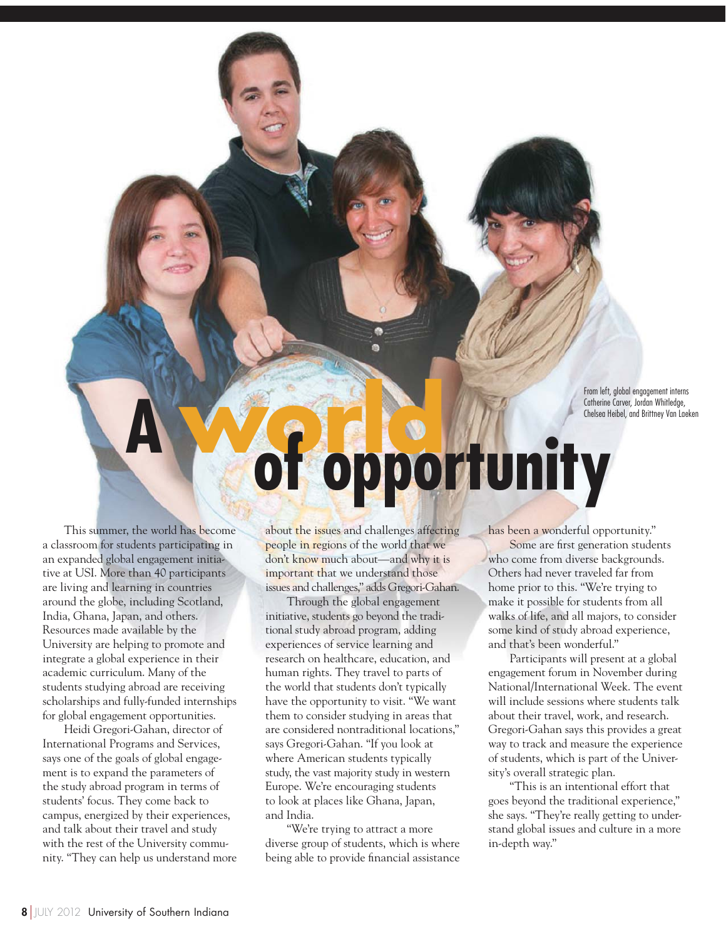From left, global engagement interns Catherine Carver, Jordan Whitledge, Chelsea Heibel, and Brittney Van Laeken

# **<sup>A</sup>world of opportunity**

This summer, the world has become a classroom for students participating in an expanded global engagement initiative at USI. More than 40 participants are living and learning in countries around the globe, including Scotland, India, Ghana, Japan, and others. Resources made available by the University are helping to promote and integrate a global experience in their academic curriculum. Many of the students studying abroad are receiving scholarships and fully-funded internships for global engagement opportunities.

Heidi Gregori-Gahan, director of International Programs and Services, says one of the goals of global engagement is to expand the parameters of the study abroad program in terms of students' focus. They come back to campus, energized by their experiences, and talk about their travel and study with the rest of the University community. "They can help us understand more about the issues and challenges affecting people in regions of the world that we don't know much about—and why it is important that we understand those issues and challenges," adds Gregori-Gahan.

Through the global engagement initiative, students go beyond the traditional study abroad program, adding experiences of service learning and research on healthcare, education, and human rights. They travel to parts of the world that students don't typically have the opportunity to visit. "We want them to consider studying in areas that are considered nontraditional locations," says Gregori-Gahan. "If you look at where American students typically study, the vast majority study in western Europe. We're encouraging students to look at places like Ghana, Japan, and India.

"We're trying to attract a more diverse group of students, which is where being able to provide financial assistance has been a wonderful opportunity."

Some are first generation students who come from diverse backgrounds. Others had never traveled far from home prior to this. "We're trying to make it possible for students from all walks of life, and all majors, to consider some kind of study abroad experience, and that's been wonderful."

Participants will present at a global engagement forum in November during National/International Week. The event will include sessions where students talk about their travel, work, and research. Gregori-Gahan says this provides a great way to track and measure the experience of students, which is part of the University's overall strategic plan.

"This is an intentional effort that goes beyond the traditional experience," she says. "They're really getting to understand global issues and culture in a more in-depth way."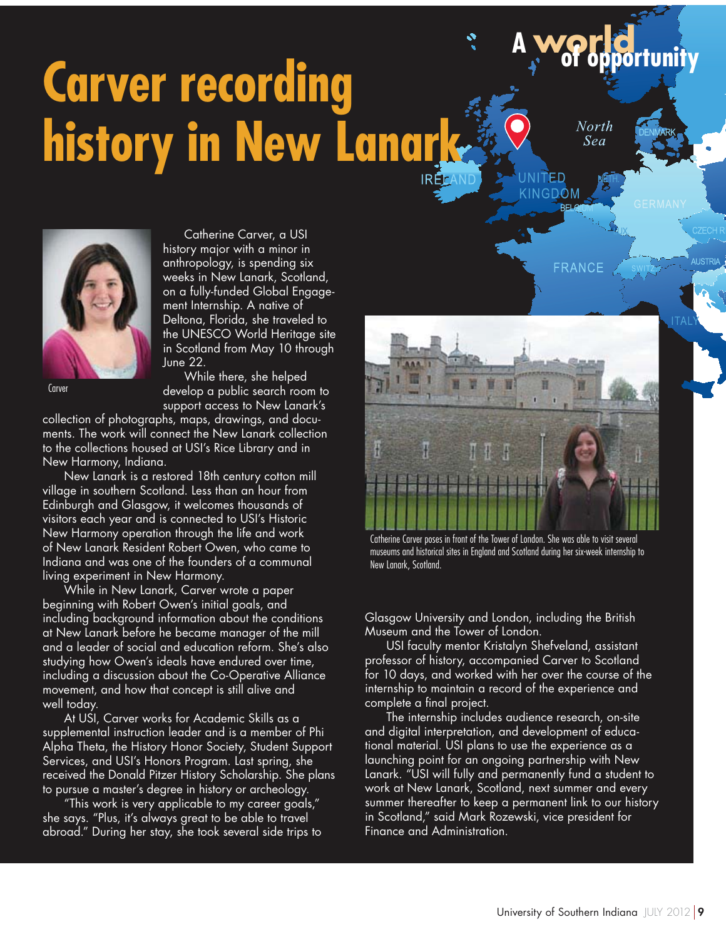# **Carver recording history in New Lanark**

North Sea

**FRANCE** 

NGDOM

**<sup>A</sup>world of opportunity**



Catherine Carver, a USI history major with a minor in anthropology, is spending six weeks in New Lanark, Scotland, on a fully-funded Global Engagement Internship. A native of Deltona, Florida, she traveled to the UNESCO World Heritage site in Scotland from May 10 through June 22.

Carver

While there, she helped develop a public search room to support access to New Lanark's

collection of photographs, maps, drawings, and documents. The work will connect the New Lanark collection to the collections housed at USI's Rice Library and in New Harmony, Indiana.

New Lanark is a restored 18th century cotton mill village in southern Scotland. Less than an hour from Edinburgh and Glasgow, it welcomes thousands of visitors each year and is connected to USI's Historic New Harmony operation through the life and work of New Lanark Resident Robert Owen, who came to Indiana and was one of the founders of a communal living experiment in New Harmony.

While in New Lanark, Carver wrote a paper beginning with Robert Owen's initial goals, and including background information about the conditions at New Lanark before he became manager of the mill and a leader of social and education reform. She's also studying how Owen's ideals have endured over time, including a discussion about the Co-Operative Alliance movement, and how that concept is still alive and well today.

At USI, Carver works for Academic Skills as a supplemental instruction leader and is a member of Phi Alpha Theta, the History Honor Society, Student Support Services, and USI's Honors Program. Last spring, she received the Donald Pitzer History Scholarship. She plans to pursue a master's degree in history or archeology.

"This work is very applicable to my career goals," she says. "Plus, it's always great to be able to travel abroad." During her stay, she took several side trips to



Catherine Carver poses in front of the Tower of London. She was able to visit several museums and historical sites in England and Scotland during her six-week internship to New Lanark, Scotland.

Glasgow University and London, including the British Museum and the Tower of London.

USI faculty mentor Kristalyn Shefveland, assistant professor of history, accompanied Carver to Scotland for 10 days, and worked with her over the course of the internship to maintain a record of the experience and complete a final project.

The internship includes audience research, on-site and digital interpretation, and development of educational material. USI plans to use the experience as a launching point for an ongoing partnership with New Lanark. "USI will fully and permanently fund a student to work at New Lanark, Scotland, next summer and every summer thereafter to keep a permanent link to our history in Scotland," said Mark Rozewski, vice president for Finance and Administration.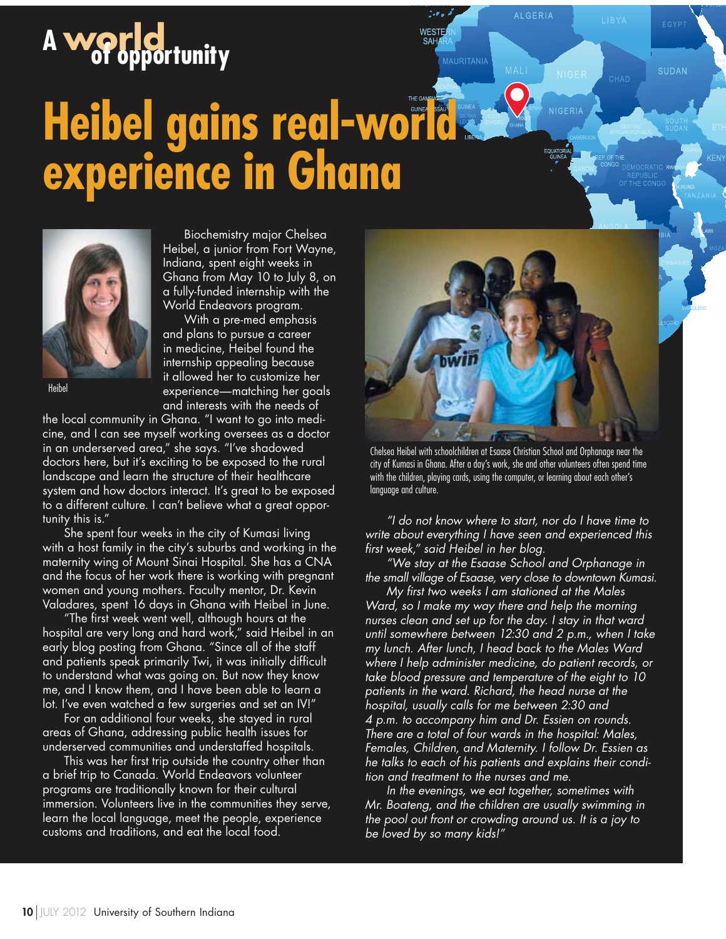# **<sup>A</sup>world of opportunity**

## **Heibel gains real-world experience in Ghana**



Biochemistry major Chelsea Heibel, a junior from Fort Wayne, Indiana, spent eight weeks in Ghana from May 10 to July 8, on a fully-funded internship with the World Endeavors program. With a pre-med emphasis

and plans to pursue a career in medicine, Heibel found the internship appealing because it allowed her to customize her experience—matching her goals and interests with the needs of

Heibel

the local community in Ghana. "I want to go into medicine, and I can see myself working oversees as a doctor in an underserved area," she says. "I've shadowed doctors here, but it's exciting to be exposed to the rural landscape and learn the structure of their healthcare system and how doctors interact. It's great to be exposed to a different culture. I can't believe what a great opportunity this is."

She spent four weeks in the city of Kumasi living with a host family in the city's suburbs and working in the maternity wing of Mount Sinai Hospital. She has a CNA and the focus of her work there is working with pregnant women and young mothers. Faculty mentor, Dr. Kevin Valadares, spent 16 days in Ghana with Heibel in June.

"The first week went well, although hours at the hospital are very long and hard work," said Heibel in an early blog posting from Ghana. "Since all of the staff and patients speak primarily Twi, it was initially difficult to understand what was going on. But now they know me, and I know them, and I have been able to learn a lot. I've even watched a few surgeries and set an IV!"

For an additional four weeks, she stayed in rural areas of Ghana, addressing public health issues for underserved communities and understaffed hospitals.

This was her first trip outside the country other than a brief trip to Canada. World Endeavors volunteer programs are traditionally known for their cultural immersion. Volunteers live in the communities they serve, learn the local language, meet the people, experience customs and traditions, and eat the local food.



**ALGERIA** 

KEN

**MAURITANIA** 

Chelsea Heibel with schoolchildren at Esaase Christian School and Orphanage near the city of Kumasi in Ghana. After a day's work, she and other volunteers often spend time with the children, playing cards, using the computer, or learning about each other's language and culture.

"I do not know where to start, nor do I have time to write about everything I have seen and experienced this first week," said Heibel in her blog.

"We stay at the Esaase School and Orphanage in the small village of Esaase, very close to downtown Kumasi.

My first two weeks I am stationed at the Males Ward, so I make my way there and help the morning nurses clean and set up for the day. I stay in that ward until somewhere between 12:30 and 2 p.m., when I take my lunch. After lunch, I head back to the Males Ward where I help administer medicine, do patient records, or take blood pressure and temperature of the eight to 10 patients in the ward. Richard, the head nurse at the hospital, usually calls for me between 2:30 and 4 p.m. to accompany him and Dr. Essien on rounds. There are a total of four wards in the hospital:  $\overline{\mathsf{M}}$ ales, Females, Children, and Maternity. I follow Dr. Essien as he talks to each of his patients and explains their condition and treatment to the nurses and me.

In the evenings, we eat together, sometimes with Mr. Boateng, and the children are usually swimming in the pool out front or crowding around us. It is a joy to be loved by so many kids!"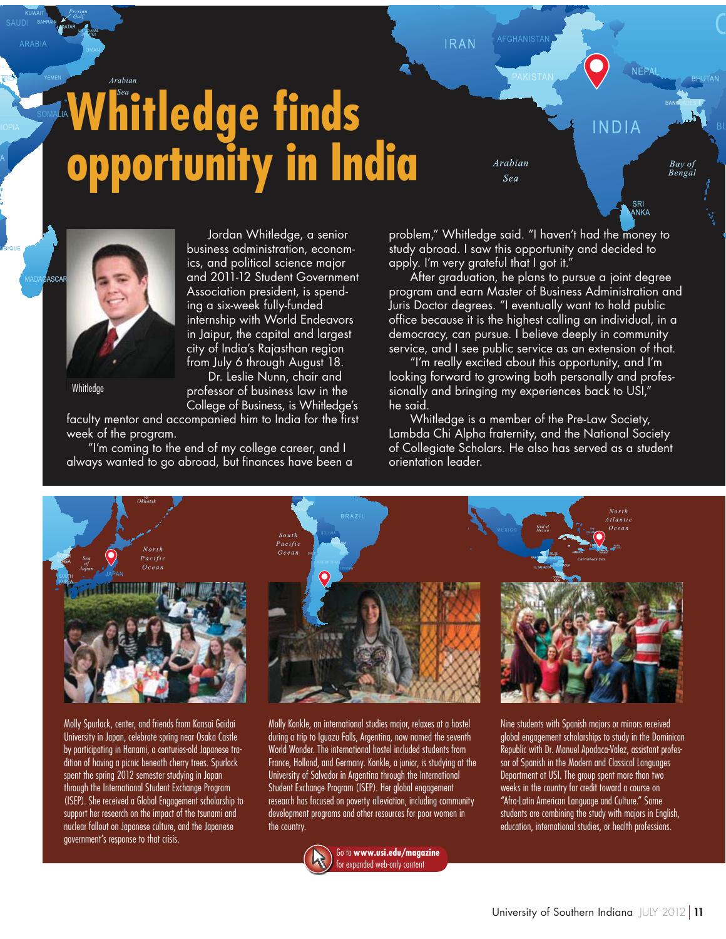## Arabian **Whitledge finds opportunity in India**

Arabian Sea

**IRAN** 



Whitledae

Jordan Whitledge, a senior business administration, economics, and political science major and 2011-12 Student Government Association president, is spending a six-week fully-funded internship with World Endeavors in Jaipur, the capital and largest city of India's Rajasthan region from July 6 through August 18.

Dr. Leslie Nunn, chair and professor of business law in the College of Business, is Whitledge's

faculty mentor and accompanied him to India for the first week of the program.

"I'm coming to the end of my college career, and I always wanted to go abroad, but finances have been a problem," Whitledge said. "I haven't had the money to study abroad. I saw this opportunity and decided to apply. I'm very grateful that I got it.'

INDIA

SRI<br>ANKA

Bay of<br>Bengal

After graduation, he plans to pursue a joint degree program and earn Master of Business Administration and Juris Doctor degrees. "I eventually want to hold public office because it is the highest calling an individual, in a democracy, can pursue. I believe deeply in community service, and I see public service as an extension of that.

"I'm really excited about this opportunity, and I'm looking forward to growing both personally and professionally and bringing my experiences back to USI," he said.

Whitledge is a member of the Pre-Law Society, Lambda Chi Alpha fraternity, and the National Society of Collegiate Scholars. He also has served as a student orientation leader.



Molly Spurlock, center, and friends from Kansai Gaidai University in Japan, celebrate spring near Osaka Castle by participating in Hanami, a centuries-old Japanese tradition of having a picnic beneath cherry trees. Spurlock spent the spring 2012 semester studying in Japan through the International Student Exchange Program (ISEP). She received a Global Engagement scholarship to support her research on the impact of the tsunami and nuclear fallout on Japanese culture, and the Japanese government's response to that crisis.



Molly Konkle, an international studies major, relaxes at a hostel during a trip to Iguazu Falls, Argentina, now named the seventh World Wonder. The international hostel included students from France, Holland, and Germany. Konkle, a junior, is studying at the University of Salvador in Argentina through the International Student Exchange Program (ISEP). Her global engagement research has focused on poverty alleviation, including community development programs and other resources for poor women in the country.



Go to **www.usi.edu/magazine**  for expanded web-only content

Nine students with Spanish majors or minors received global engagement scholarships to study in the Dominican Republic with Dr. Manuel Apodaca-Valez, assistant professor of Spanish in the Modern and Classical Languages Department at USI. The group spent more than two weeks in the country for credit toward a course on "Afro-Latin American Language and Culture." Some students are combining the study with majors in English,

education, international studies, or health professions.